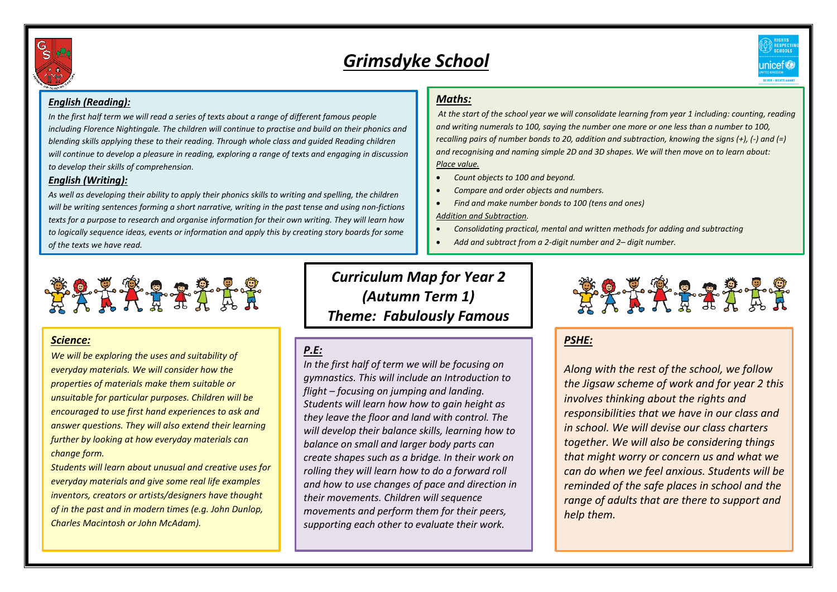

# *Grimsdyke School*



#### *English (Reading):*

*In the first half term we will read a series of texts about a range of different famous people including Florence Nightingale. The children will continue to practise and build on their phonics and blending skills applying these to their reading. Through whole class and guided Reading children will continue to develop a pleasure in reading, exploring a range of texts and engaging in discussion to develop their skills of comprehension.*

#### *English (Writing):*

*As well as developing their ability to apply their phonics skills to writing and spelling, the children will be writing sentences forming a short narrative, writing in the past tense and using non-fictions texts for a purpose to research and organise information for their own writing. They will learn how to logically sequence ideas, events or information and apply this by creating story boards for some of the texts we have read.* 

#### *Maths:*

*At the start of the school year we will consolidate learning from year 1 including: counting, reading and writing numerals to 100, saying the number one more or one less than a number to 100, recalling pairs of number bonds to 20, addition and subtraction, knowing the signs (+), (-) and (=) and recognising and naming simple 2D and 3D shapes. We will then move on to learn about: Place value.*

- *Count objects to 100 and beyond.*
- *Compare and order objects and numbers.*
- *Find and make number bonds to 100 (tens and ones)*

*Addition and Subtraction.*

- *Consolidating practical, mental and written methods for adding and subtracting*
- *Add and subtract from a 2-digit number and 2– digit number.*



#### *Science:*

*We will be exploring the uses and suitability of everyday materials. We will consider how the properties of materials make them suitable or unsuitable for particular purposes. Children will be encouraged to use first hand experiences to ask and answer questions. They will also extend their learning further by looking at how everyday materials can change form.*

*Students will learn about unusual and creative uses for everyday materials and give some real life examples inventors, creators or artists/designers have thought of in the past and in modern times (e.g. John Dunlop, Charles Macintosh or John McAdam).*

*Curriculum Map for Year 2 (Autumn Term 1) Theme: Fabulously Famous*

## *P.E:*

*In the first half of term we will be focusing on gymnastics. This will include an Introduction to flight – focusing on jumping and landing. Students will learn how how to gain height as they leave the floor and land with control. The will develop their balance skills, learning how to balance on small and larger body parts can create shapes such as a bridge. In their work on rolling they will learn how to do a forward roll and how to use changes of pace and direction in their movements. Children will sequence movements and perform them for their peers, supporting each other to evaluate their work.* 



*PSHE:*

*Along with the rest of the school, we follow the Jigsaw scheme of work and for year 2 this involves thinking about the rights and responsibilities that we have in our class and in school. We will devise our class charters together. We will also be considering things that might worry or concern us and what we can do when we feel anxious. Students will be reminded of the safe places in school and the range of adults that are there to support and help them.*